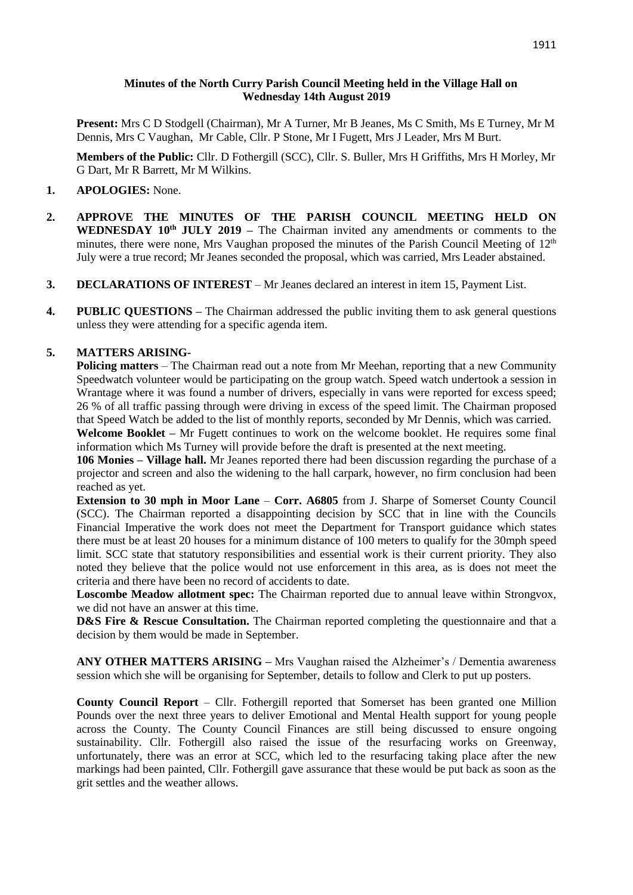### **Minutes of the North Curry Parish Council Meeting held in the Village Hall on Wednesday 14th August 2019**

**Present:** Mrs C D Stodgell (Chairman), Mr A Turner, Mr B Jeanes, Ms C Smith, Ms E Turney, Mr M Dennis, Mrs C Vaughan, Mr Cable, Cllr. P Stone, Mr I Fugett, Mrs J Leader, Mrs M Burt.

**Members of the Public:** Cllr. D Fothergill (SCC), Cllr. S. Buller, Mrs H Griffiths, Mrs H Morley, Mr G Dart, Mr R Barrett, Mr M Wilkins.

## **1. APOLOGIES:** None.

- **2. APPROVE THE MINUTES OF THE PARISH COUNCIL MEETING HELD ON WEDNESDAY 10th JULY 2019 –** The Chairman invited any amendments or comments to the minutes, there were none, Mrs Vaughan proposed the minutes of the Parish Council Meeting of  $12<sup>th</sup>$ July were a true record; Mr Jeanes seconded the proposal, which was carried, Mrs Leader abstained.
- **3. DECLARATIONS OF INTEREST** Mr Jeanes declared an interest in item 15, Payment List.
- **4. PUBLIC QUESTIONS –** The Chairman addressed the public inviting them to ask general questions unless they were attending for a specific agenda item.

## **5. MATTERS ARISING-**

**Policing matters** – The Chairman read out a note from Mr Meehan, reporting that a new Community Speedwatch volunteer would be participating on the group watch. Speed watch undertook a session in Wrantage where it was found a number of drivers, especially in vans were reported for excess speed; 26 % of all traffic passing through were driving in excess of the speed limit. The Chairman proposed that Speed Watch be added to the list of monthly reports, seconded by Mr Dennis, which was carried.

**Welcome Booklet –** Mr Fugett continues to work on the welcome booklet. He requires some final information which Ms Turney will provide before the draft is presented at the next meeting.

**106 Monies – Village hall.** Mr Jeanes reported there had been discussion regarding the purchase of a projector and screen and also the widening to the hall carpark, however, no firm conclusion had been reached as yet.

**Extension to 30 mph in Moor Lane** – **Corr. A6805** from J. Sharpe of Somerset County Council (SCC). The Chairman reported a disappointing decision by SCC that in line with the Councils Financial Imperative the work does not meet the Department for Transport guidance which states there must be at least 20 houses for a minimum distance of 100 meters to qualify for the 30mph speed limit. SCC state that statutory responsibilities and essential work is their current priority. They also noted they believe that the police would not use enforcement in this area, as is does not meet the criteria and there have been no record of accidents to date.

**Loscombe Meadow allotment spec:** The Chairman reported due to annual leave within Strongvox, we did not have an answer at this time.

**D&S Fire & Rescue Consultation.** The Chairman reported completing the questionnaire and that a decision by them would be made in September.

**ANY OTHER MATTERS ARISING –** Mrs Vaughan raised the Alzheimer's / Dementia awareness session which she will be organising for September, details to follow and Clerk to put up posters.

**County Council Report** – Cllr. Fothergill reported that Somerset has been granted one Million Pounds over the next three years to deliver Emotional and Mental Health support for young people across the County. The County Council Finances are still being discussed to ensure ongoing sustainability. Cllr. Fothergill also raised the issue of the resurfacing works on Greenway, unfortunately, there was an error at SCC, which led to the resurfacing taking place after the new markings had been painted, Cllr. Fothergill gave assurance that these would be put back as soon as the grit settles and the weather allows.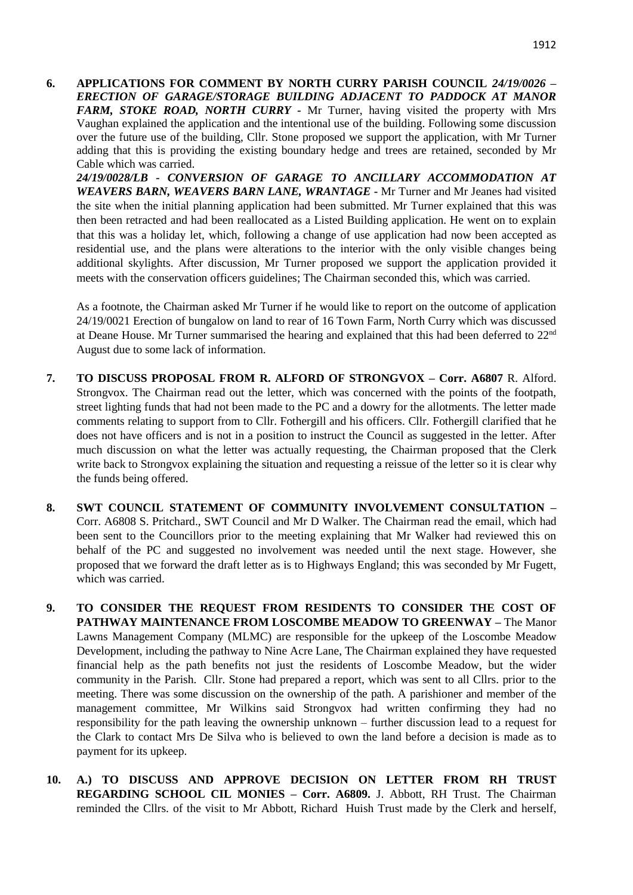**6. APPLICATIONS FOR COMMENT BY NORTH CURRY PARISH COUNCIL** *24/19/0026 – ERECTION OF GARAGE/STORAGE BUILDING ADJACENT TO PADDOCK AT MANOR FARM, STOKE ROAD, NORTH CURRY -* Mr Turner, having visited the property with Mrs Vaughan explained the application and the intentional use of the building. Following some discussion over the future use of the building, Cllr. Stone proposed we support the application, with Mr Turner adding that this is providing the existing boundary hedge and trees are retained, seconded by Mr Cable which was carried.

*24/19/0028/LB - CONVERSION OF GARAGE TO ANCILLARY ACCOMMODATION AT WEAVERS BARN, WEAVERS BARN LANE, WRANTAGE* **-** Mr Turner and Mr Jeanes had visited the site when the initial planning application had been submitted. Mr Turner explained that this was then been retracted and had been reallocated as a Listed Building application. He went on to explain that this was a holiday let, which, following a change of use application had now been accepted as residential use, and the plans were alterations to the interior with the only visible changes being additional skylights. After discussion, Mr Turner proposed we support the application provided it meets with the conservation officers guidelines; The Chairman seconded this, which was carried.

As a footnote, the Chairman asked Mr Turner if he would like to report on the outcome of application 24/19/0021 Erection of bungalow on land to rear of 16 Town Farm, North Curry which was discussed at Deane House. Mr Turner summarised the hearing and explained that this had been deferred to 22nd August due to some lack of information.

- **7. TO DISCUSS PROPOSAL FROM R. ALFORD OF STRONGVOX – Corr. A6807** R. Alford. Strongvox. The Chairman read out the letter, which was concerned with the points of the footpath, street lighting funds that had not been made to the PC and a dowry for the allotments. The letter made comments relating to support from to Cllr. Fothergill and his officers. Cllr. Fothergill clarified that he does not have officers and is not in a position to instruct the Council as suggested in the letter. After much discussion on what the letter was actually requesting, the Chairman proposed that the Clerk write back to Strongvox explaining the situation and requesting a reissue of the letter so it is clear why the funds being offered.
- **8. SWT COUNCIL STATEMENT OF COMMUNITY INVOLVEMENT CONSULTATION –** Corr. A6808 S. Pritchard., SWT Council and Mr D Walker. The Chairman read the email, which had been sent to the Councillors prior to the meeting explaining that Mr Walker had reviewed this on behalf of the PC and suggested no involvement was needed until the next stage. However, she proposed that we forward the draft letter as is to Highways England; this was seconded by Mr Fugett, which was carried.
- **9. TO CONSIDER THE REQUEST FROM RESIDENTS TO CONSIDER THE COST OF PATHWAY MAINTENANCE FROM LOSCOMBE MEADOW TO GREENWAY –** The Manor Lawns Management Company (MLMC) are responsible for the upkeep of the Loscombe Meadow Development, including the pathway to Nine Acre Lane, The Chairman explained they have requested financial help as the path benefits not just the residents of Loscombe Meadow, but the wider community in the Parish. Cllr. Stone had prepared a report, which was sent to all Cllrs. prior to the meeting. There was some discussion on the ownership of the path. A parishioner and member of the management committee, Mr Wilkins said Strongvox had written confirming they had no responsibility for the path leaving the ownership unknown – further discussion lead to a request for the Clark to contact Mrs De Silva who is believed to own the land before a decision is made as to payment for its upkeep.
- **10. A.) TO DISCUSS AND APPROVE DECISION ON LETTER FROM RH TRUST REGARDING SCHOOL CIL MONIES – Corr. A6809.** J. Abbott, RH Trust. The Chairman reminded the Cllrs. of the visit to Mr Abbott, Richard Huish Trust made by the Clerk and herself,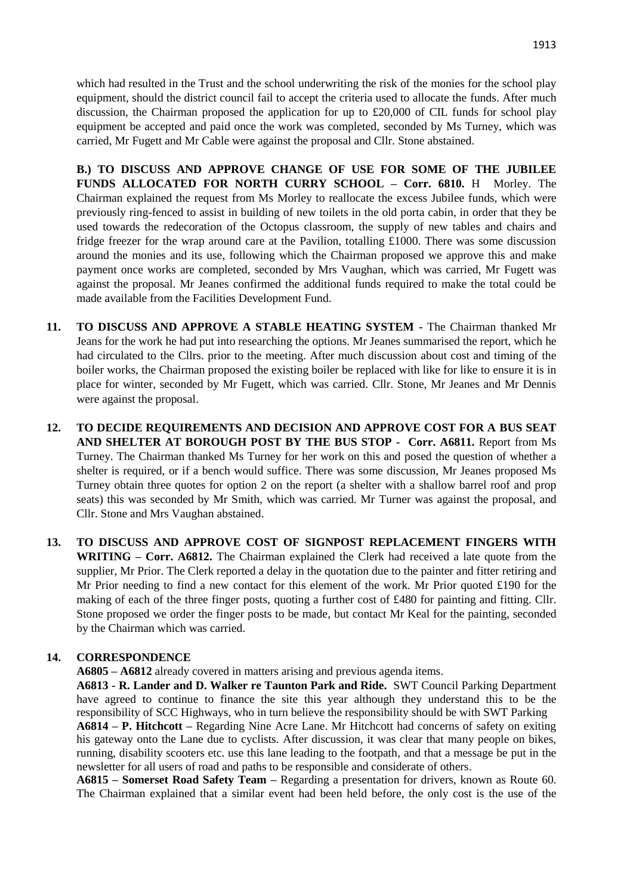which had resulted in the Trust and the school underwriting the risk of the monies for the school play equipment, should the district council fail to accept the criteria used to allocate the funds. After much discussion, the Chairman proposed the application for up to  $\text{\pounds}20,000$  of CIL funds for school play equipment be accepted and paid once the work was completed, seconded by Ms Turney, which was carried, Mr Fugett and Mr Cable were against the proposal and Cllr. Stone abstained.

**B.) TO DISCUSS AND APPROVE CHANGE OF USE FOR SOME OF THE JUBILEE FUNDS ALLOCATED FOR NORTH CURRY SCHOOL – Corr. 6810.** H Morley. The Chairman explained the request from Ms Morley to reallocate the excess Jubilee funds, which were previously ring-fenced to assist in building of new toilets in the old porta cabin, in order that they be used towards the redecoration of the Octopus classroom, the supply of new tables and chairs and fridge freezer for the wrap around care at the Pavilion, totalling £1000. There was some discussion around the monies and its use, following which the Chairman proposed we approve this and make payment once works are completed, seconded by Mrs Vaughan, which was carried, Mr Fugett was against the proposal. Mr Jeanes confirmed the additional funds required to make the total could be made available from the Facilities Development Fund.

- **11. TO DISCUSS AND APPROVE A STABLE HEATING SYSTEM -** The Chairman thanked Mr Jeans for the work he had put into researching the options. Mr Jeanes summarised the report, which he had circulated to the Cllrs. prior to the meeting. After much discussion about cost and timing of the boiler works, the Chairman proposed the existing boiler be replaced with like for like to ensure it is in place for winter, seconded by Mr Fugett, which was carried. Cllr. Stone, Mr Jeanes and Mr Dennis were against the proposal.
- **12. TO DECIDE REQUIREMENTS AND DECISION AND APPROVE COST FOR A BUS SEAT AND SHELTER AT BOROUGH POST BY THE BUS STOP - Corr. A6811.** Report from Ms Turney. The Chairman thanked Ms Turney for her work on this and posed the question of whether a shelter is required, or if a bench would suffice. There was some discussion, Mr Jeanes proposed Ms Turney obtain three quotes for option 2 on the report (a shelter with a shallow barrel roof and prop seats) this was seconded by Mr Smith, which was carried. Mr Turner was against the proposal, and Cllr. Stone and Mrs Vaughan abstained.
- **13. TO DISCUSS AND APPROVE COST OF SIGNPOST REPLACEMENT FINGERS WITH WRITING – Corr. A6812.** The Chairman explained the Clerk had received a late quote from the supplier, Mr Prior. The Clerk reported a delay in the quotation due to the painter and fitter retiring and Mr Prior needing to find a new contact for this element of the work. Mr Prior quoted £190 for the making of each of the three finger posts, quoting a further cost of £480 for painting and fitting. Cllr. Stone proposed we order the finger posts to be made, but contact Mr Keal for the painting, seconded by the Chairman which was carried.

# **14. CORRESPONDENCE**

**A6805 – A6812** already covered in matters arising and previous agenda items.

**A6813 - R. Lander and D. Walker re Taunton Park and Ride.** SWT Council Parking Department have agreed to continue to finance the site this year although they understand this to be the responsibility of SCC Highways, who in turn believe the responsibility should be with SWT Parking

**A6814 – P. Hitchcott –** Regarding Nine Acre Lane. Mr Hitchcott had concerns of safety on exiting his gateway onto the Lane due to cyclists. After discussion, it was clear that many people on bikes, running, disability scooters etc. use this lane leading to the footpath, and that a message be put in the newsletter for all users of road and paths to be responsible and considerate of others.

**A6815 – Somerset Road Safety Team –** Regarding a presentation for drivers, known as Route 60. The Chairman explained that a similar event had been held before, the only cost is the use of the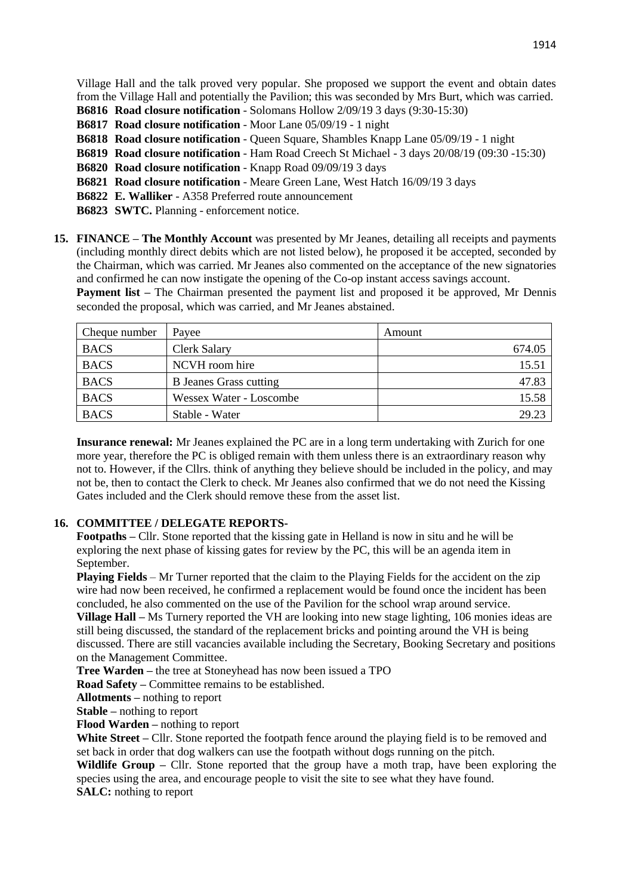Village Hall and the talk proved very popular. She proposed we support the event and obtain dates from the Village Hall and potentially the Pavilion; this was seconded by Mrs Burt, which was carried.

**B6816 Road closure notification** - Solomans Hollow 2/09/19 3 days (9:30-15:30)

**B6817 Road closure notification** - Moor Lane 05/09/19 - 1 night

**B6818 Road closure notification** - Queen Square, Shambles Knapp Lane 05/09/19 - 1 night

**B6819 Road closure notification** - Ham Road Creech St Michael - 3 days 20/08/19 (09:30 -15:30)

**B6820 Road closure notification** - Knapp Road 09/09/19 3 days

**B6821 Road closure notification** - Meare Green Lane, West Hatch 16/09/19 3 days

**B6822 E. Walliker** - A358 Preferred route announcement

**B6823 SWTC.** Planning - enforcement notice.

**15. FINANCE – The Monthly Account** was presented by Mr Jeanes, detailing all receipts and payments (including monthly direct debits which are not listed below), he proposed it be accepted, seconded by the Chairman, which was carried. Mr Jeanes also commented on the acceptance of the new signatories and confirmed he can now instigate the opening of the Co-op instant access savings account.

**Payment list** – The Chairman presented the payment list and proposed it be approved, Mr Dennis seconded the proposal, which was carried, and Mr Jeanes abstained.

| Cheque number | Payee                         | Amount |
|---------------|-------------------------------|--------|
| <b>BACS</b>   | <b>Clerk Salary</b>           | 674.05 |
| <b>BACS</b>   | NCVH room hire                | 15.51  |
| <b>BACS</b>   | <b>B</b> Jeanes Grass cutting | 47.83  |
| <b>BACS</b>   | Wessex Water - Loscombe       | 15.58  |
| <b>BACS</b>   | Stable - Water                | 29.23  |

**Insurance renewal:** Mr Jeanes explained the PC are in a long term undertaking with Zurich for one more year, therefore the PC is obliged remain with them unless there is an extraordinary reason why not to. However, if the Cllrs. think of anything they believe should be included in the policy, and may not be, then to contact the Clerk to check. Mr Jeanes also confirmed that we do not need the Kissing Gates included and the Clerk should remove these from the asset list.

# **16. COMMITTEE / DELEGATE REPORTS-**

**Footpaths –** Cllr. Stone reported that the kissing gate in Helland is now in situ and he will be exploring the next phase of kissing gates for review by the PC, this will be an agenda item in September.

**Playing Fields** – Mr Turner reported that the claim to the Playing Fields for the accident on the zip wire had now been received, he confirmed a replacement would be found once the incident has been concluded, he also commented on the use of the Pavilion for the school wrap around service.

**Village Hall –** Ms Turnery reported the VH are looking into new stage lighting, 106 monies ideas are still being discussed, the standard of the replacement bricks and pointing around the VH is being discussed. There are still vacancies available including the Secretary, Booking Secretary and positions on the Management Committee.

**Tree Warden –** the tree at Stoneyhead has now been issued a TPO

**Road Safety –** Committee remains to be established.

**Allotments –** nothing to report

**Stable –** nothing to report

**Flood Warden –** nothing to report

White Street – Cllr. Stone reported the footpath fence around the playing field is to be removed and set back in order that dog walkers can use the footpath without dogs running on the pitch.

Wildlife Group – Cllr. Stone reported that the group have a moth trap, have been exploring the species using the area, and encourage people to visit the site to see what they have found. **SALC:** nothing to report